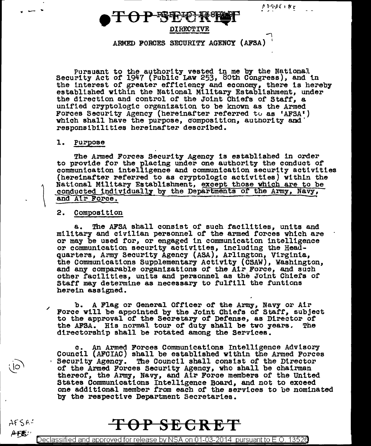

 $\overline{\phantom{a}}$ ARMED FORCES SECURITY AGENCY (APSA) <sup>1</sup>

Pursuant to the authority vested in me by the National Security Act of 1947 (Public Law 253, 80th Congress), and in the interest of greater efficiency and economy, there is hereby established within the National Military Establishment, under the direction and control of the Joint Chiefs of Staff, a unified cryptologic organization to be known as the Armed Forces Security Agency (hereinafter referred to as 'AFSA') which shall have the purpose, composition, authority and responsibilities hereinafter described.

#### 1. Purpose

**'If** .......... ~

 $AFSA^t$  $AFE$ 

The Armed Forces Security Agency is established in order to provide for the placing under one authority the conduct of communication intelligence and communication security activities (hereinafter referred to as cryptologic activities) v1thln the National Military Establishment, except those which are to be conducted individually by the Departments of the Army, Navy, and A1r Force.

#### 2. Composition

a. The AFSA shall consist or such facilities, units and military and civilian personnel of the armed forces which are or may be used for, or engaged in communication intelligence or communication security activities, including the Headquarters, Army Security Agency (ASA), Arlington, Virginia, the Communications Supplementary Activity (CSAW), Washington, and any comparable organizations of the Air Force, and such other facilities, units and personnel as the Joint Chiefs of Staff may determine as necessary to fulfill the funticns herein assigned.

/ b. A Flag or General Officer of the Army, Navy or Air Force will be appointed by the Joint Chiefs or Staff, subject to the approval of the Secretary or Defense, as Director *ot*  the AFSA. His normal tour of duty shall be two years. The directorship shall be rotated among the Services.

c. An Armed Forces Communications Intelligence Advisory Council (AFCIAC) shall be established within the Armed Forces Security Agency. The Council shall consist of the Director of the Armed Forces Security Agency, who shall be chairman thereof, the Army, Navy, and Air Force members of the United States Communications Intelligence Board, and not to exceed one additional member from each *ot* the services to be nominated by the respective Department Secretaries.

## **SECRE**

Declassified and approved for release by NSA on 01-03-2014  $\,$  pursuant to E.O. 13526  $\,$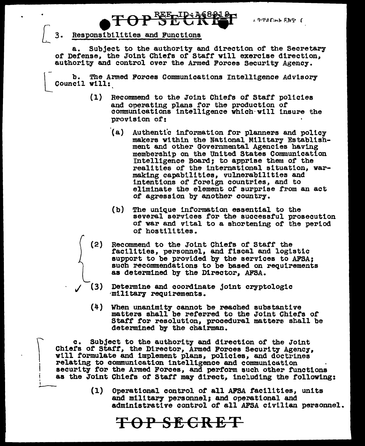L PTACHERNT C

### Responsibilities and Functions

 $\int$  $\vert$ I

I

I  $\overline{\phantom{a}}$ 

a. Subject to the authority and direction of the Secretary of Defense, the Joint Chiefs of Staff will exercise direction, authority and control over the Armed Forces Security Agency.

b. The Armed Forces Communications Intelligence Advisory Council will:

- (1) Recommend to the Joint Chiefs of Staff policies and operating plans tor the production or communtcattons intelligence vhteh·vill insure the provision *ot:* 
	- (a) Authentic information for planners and policy makers within the National Military Establish-<br>ment and other Governmental Agencies having membership on the United States Communication Intelligence Board; to apprise them of the realities of the international situation, varmaking capabilities, vulnerabilities and intentions or foreign countries, and to eliminate the element of surprise from an act *ot* agression by another country.
	- (b) The unique information essential to the several services for the successful prosecution<br>of war and vital to a shortening of the period or hostilities.
- (2) Recommend to the Joint Chiefs of Staff the facilities, personnel, and fiscal and logistic support to be provided by the services to AFSA; such recommendations to be based on requirements as determined by the Director, AFSA.
- (3) Determine and coordinate joint cryptologic *inititary requirements*.
	- (4) When unanimity cannot be reached substantive matters shall be referred to the Joint Chiefs or Staff for resolution, procedural matters shall be determined by the chairman.

c. Subject to the authority and direction of the Joint Chiefs of Staff, the Director, Armed Forces Security Agency, will formulate and implement plans, policies, and doctrines relating to communication intelligence and communication security for the Armed Forces, and perform such other functions as the Joint Chiefs of Staff may direct, including the following:

TOP SECRET

(1) Operational control of all AFSA facilities, units and military personnel; and operational and administrative control of all AFSA civilian personnel.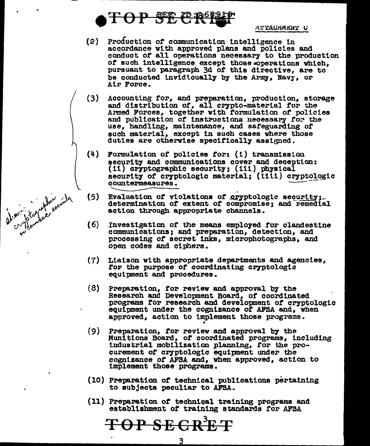

ptographic points

ATTACHMENT C

- $(2)$ Production of communication intelligence in accordance with approved plans and policies and conduct of all operations necessary to the production of such intelligence except those coperations which. pursuant to paragraph 3d of this directive, are to be conducted invidicually by the Army, Navy, or Air Force.
- $(3)$ Accounting for, and preparation, production, storage and distribution of, all crypto-material for the Armed Forces, together with formulation of policies and publication of instructions necessary for the use, handling, maintenance, and safeguarding of such material, except in such cases where those duties are otherwise specifically assigned.
- $(4)$ Formulation of policies for: (i) transmission security and communications cover and deception: (ii) cryptographic security; (iii) physical security of cryptologic material; (iiii) cryptologic countermeasures.
- $(5)$ Evaluation of violations of cryptologic security; determination of extent of compromise; and remedial action through appropriate channels.
- $(6)$ Investigation of the means employed for clandestine communications; and preparation, detection, and processing of secret inks, microphotographs, and open codes and ciphers.
- $(7)$ Liaison with appropriate departments and agencies, for the purpose of coordinating cryptologic equipment and procedures.
- $(8)$ Preparation, for review and approval by the Research and Development Board, of coordinated programs for research and development of cryptologic equipment under the cognizance of AFSA and, when approved, action to implement those programs.
- $(9)$ Preparation, for review and approval by the Munitions Board, of coordinated programs, including industrial mobilization planning, for the procurement of cryptologic equipment under the cognizance of AFSA and, when approved, action to implement those programs.
- (10) Preparation of technical publications pertaining to subjects peculiar to AFSA.
- (11) Preparation of technical training programs and establishment of training standards for AFSA

TOP SEGRET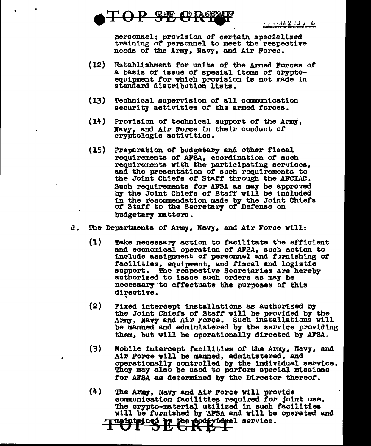

•

personnel; provision of certain specialized training *ot* personnel to meet the respective needs *ot* the Army, Navy, and Air Force.

- (12) Establishment tor unite *ot* the Armed Forces *ot*  a basis of issue of special items of crypto-<br>equipment for which provision is not made in standard distribution lists.
- (13) Technical supervision *ot* all communication security activities *ot* the armed forces.
- (14) Provision *ot* technical support *ot* the Azrmi, Navy, and Air Poree in their conduct of cryptologic activities.
- (15) Preparation *ot* budgetary and other fiscal requirements *ot* AFSA, coordination of such requirements vith the participating services, and the presentation *ot* such requirements to the Joint Chiefs *ot* Statt through the AFCIAC. Such requirements tor AFSA as may be approved by the Joint Chiefs *ot* Staff vill be included in the recommendation made by the Joint Chiefs of Start to the Secretary *ot* Defense on budgetary matters.
- d. The Departments of Army, Navy, and Air Force will:
	- (1) Take necessary action to tacil1tate the efficient and economical operation of APSA, such action to include assignment of personnel and furnishing of tac111t1es, equipnent, and tiscal and logistic support. The respective Secretaries are hereby authorized to issue such orders as may be necessary to effectuate the purposes of this directive. '
	- (2) Fixed intercept installations as authorized by the Joint Chiefs *ot* Starr vill be provided by the Army, Navy and Air Force. Such installations will be manned and administered by the service providing them, but will be operationally directed by AFSA.
	- (3) Mobile intercept facilities of the Army, Navy, and Air Poree will be manned, administered, and operationallJ controlled by the individual service. Destationary condicited by the marticular sortice for AFSA as determined by the Director thereof.
	- (4) The Army, Navy and Air Force will provide communication facilities required for joint use. The crypto-material utilized in such facilities will be furnished by AFSA and will be operated and The project is the projectional service.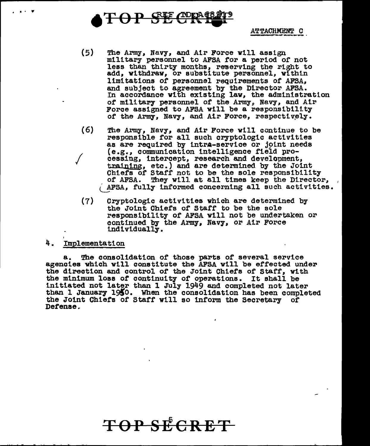$\Theta$  P  $S$ <sup>F</sup>  $C$ <sup>n</sup>

 $\bf ATTACHMENT-C$ 

- (5) The Army, Navy, and Atr Force will assign military personnel to AFSA for a period of not less than thlrty months, reserving the right to add, withdraw, or substitute personnel, within limitations of personnel requirements of AFSA, and subject to agreement by the Director AFSA. In accordance with existing law, the administration of military personnel of the Army, Navy, and Air Force assigned to AFSA will be a responsibility of the Army, Navy, and Air Force, respectively.
- (6) *I*  The Army, Navy, and Air Force will continue to be responsible tor all such cryptologic activities as are required by intra-service or joint needs (e.g., communication intelligence field prodessing, intercept, research and development, training, etc.) and are determined by the Joint Chiefs of Staff not to be the sole responsibility of AFSA. They will at all times keep the Director, AFSA, fully informed concerning all such activities.
	- (7) Cryptologic activities which are determined by the Joint Chiefs of Staff to be the sole responsibility *ot* AFSA will not be undertaken or continued by the Army, Navy, or Air Force individually.

#### 4. Implementation

.. .. . .,

The consolidation of those parts of several service agencies which will constitute the AFSA will be effected under the direction and control of the Joint Chiefs or Staff, with the minimum loss of continuity of operations. It shall be initiated not later than 1 July 1949 and completed not later than 1 January 1950. When the consolidation has been completed the Joint Chiefs of Staff will so inform the Secretary of Defense.

# **TSPS:ECRET**